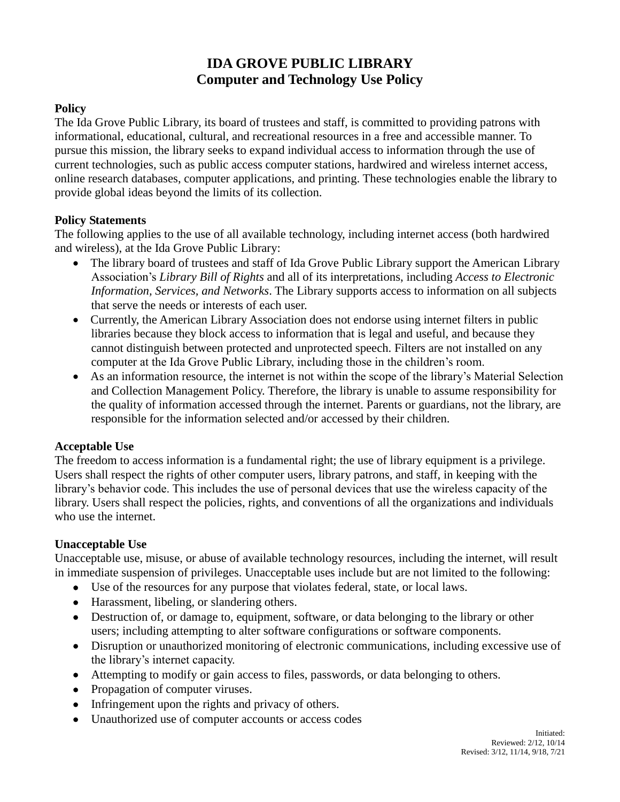# **IDA GROVE PUBLIC LIBRARY Computer and Technology Use Policy**

# **Policy**

The Ida Grove Public Library, its board of trustees and staff, is committed to providing patrons with informational, educational, cultural, and recreational resources in a free and accessible manner. To pursue this mission, the library seeks to expand individual access to information through the use of current technologies, such as public access computer stations, hardwired and wireless internet access, online research databases, computer applications, and printing. These technologies enable the library to provide global ideas beyond the limits of its collection.

# **Policy Statements**

The following applies to the use of all available technology, including internet access (both hardwired and wireless), at the Ida Grove Public Library:

- The library board of trustees and staff of Ida Grove Public Library support the American Library Association's *Library Bill of Rights* and all of its interpretations, including *Access to Electronic Information, Services, and Networks*. The Library supports access to information on all subjects that serve the needs or interests of each user.
- Currently, the American Library Association does not endorse using internet filters in public libraries because they block access to information that is legal and useful, and because they cannot distinguish between protected and unprotected speech. Filters are not installed on any computer at the Ida Grove Public Library, including those in the children's room.
- As an information resource, the internet is not within the scope of the library's Material Selection and Collection Management Policy. Therefore, the library is unable to assume responsibility for the quality of information accessed through the internet. Parents or guardians, not the library, are responsible for the information selected and/or accessed by their children.

# **Acceptable Use**

The freedom to access information is a fundamental right; the use of library equipment is a privilege. Users shall respect the rights of other computer users, library patrons, and staff, in keeping with the library's behavior code. This includes the use of personal devices that use the wireless capacity of the library. Users shall respect the policies, rights, and conventions of all the organizations and individuals who use the internet.

#### **Unacceptable Use**

Unacceptable use, misuse, or abuse of available technology resources, including the internet, will result in immediate suspension of privileges. Unacceptable uses include but are not limited to the following:

- Use of the resources for any purpose that violates federal, state, or local laws.
- Harassment, libeling, or slandering others.
- Destruction of, or damage to, equipment, software, or data belonging to the library or other users; including attempting to alter software configurations or software components.
- Disruption or unauthorized monitoring of electronic communications, including excessive use of the library's internet capacity.
- Attempting to modify or gain access to files, passwords, or data belonging to others.
- Propagation of computer viruses.
- Infringement upon the rights and privacy of others.
- Unauthorized use of computer accounts or access codes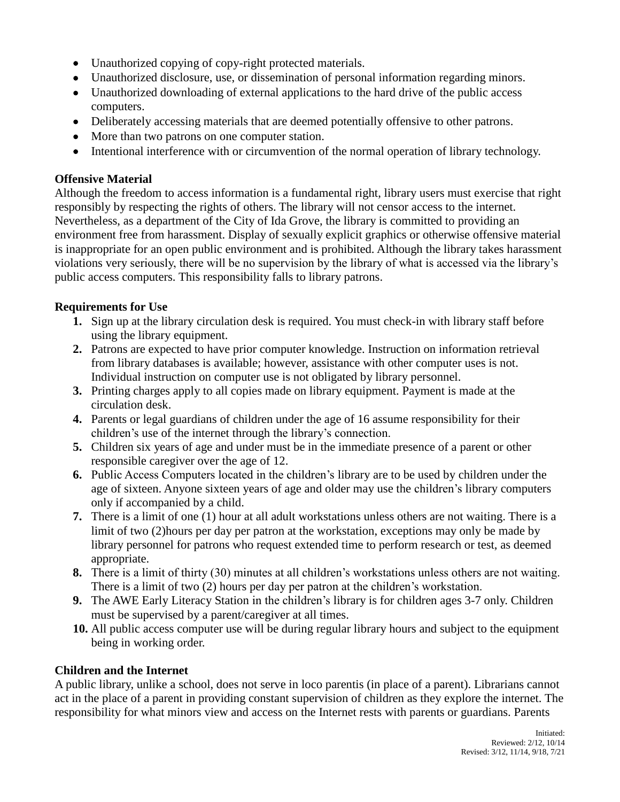- Unauthorized copying of copy-right protected materials.
- Unauthorized disclosure, use, or dissemination of personal information regarding minors.
- Unauthorized downloading of external applications to the hard drive of the public access computers.
- Deliberately accessing materials that are deemed potentially offensive to other patrons.
- More than two patrons on one computer station.
- Intentional interference with or circumvention of the normal operation of library technology.

## **Offensive Material**

Although the freedom to access information is a fundamental right, library users must exercise that right responsibly by respecting the rights of others. The library will not censor access to the internet. Nevertheless, as a department of the City of Ida Grove, the library is committed to providing an environment free from harassment. Display of sexually explicit graphics or otherwise offensive material is inappropriate for an open public environment and is prohibited. Although the library takes harassment violations very seriously, there will be no supervision by the library of what is accessed via the library's public access computers. This responsibility falls to library patrons.

## **Requirements for Use**

- **1.** Sign up at the library circulation desk is required. You must check-in with library staff before using the library equipment.
- **2.** Patrons are expected to have prior computer knowledge. Instruction on information retrieval from library databases is available; however, assistance with other computer uses is not. Individual instruction on computer use is not obligated by library personnel.
- **3.** Printing charges apply to all copies made on library equipment. Payment is made at the circulation desk.
- **4.** Parents or legal guardians of children under the age of 16 assume responsibility for their children's use of the internet through the library's connection.
- **5.** Children six years of age and under must be in the immediate presence of a parent or other responsible caregiver over the age of 12.
- **6.** Public Access Computers located in the children's library are to be used by children under the age of sixteen. Anyone sixteen years of age and older may use the children's library computers only if accompanied by a child.
- **7.** There is a limit of one (1) hour at all adult workstations unless others are not waiting. There is a limit of two (2)hours per day per patron at the workstation, exceptions may only be made by library personnel for patrons who request extended time to perform research or test, as deemed appropriate.
- **8.** There is a limit of thirty (30) minutes at all children's workstations unless others are not waiting. There is a limit of two (2) hours per day per patron at the children's workstation.
- **9.** The AWE Early Literacy Station in the children's library is for children ages 3-7 only. Children must be supervised by a parent/caregiver at all times.
- **10.** All public access computer use will be during regular library hours and subject to the equipment being in working order.

#### **Children and the Internet**

A public library, unlike a school, does not serve in loco parentis (in place of a parent). Librarians cannot act in the place of a parent in providing constant supervision of children as they explore the internet. The responsibility for what minors view and access on the Internet rests with parents or guardians. Parents